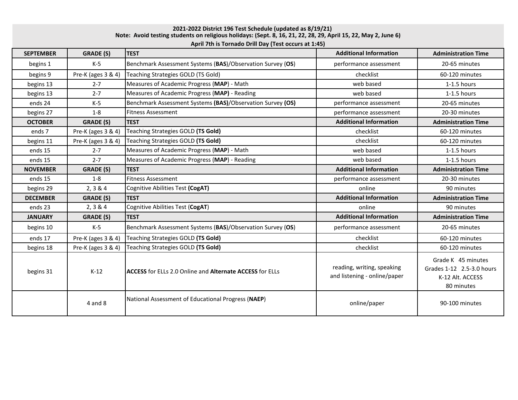**Note: Avoid testing students on religious holidays: (Sept. 8, 16, 21, 22, 28, 29, April 15, 22, May 2, June 6) April 7th is Tornado Drill Day (Test occurs at 1:45) 2021-2022 District 196 Test Schedule (updated as 8/19/21)**

| <b>SEPTEMBER</b> | <b>GRADE (S)</b>   | $\cdots$<br><b>TEST</b>                                                | <b>Additional Information</b>                              | <b>Administration Time</b>                                                        |
|------------------|--------------------|------------------------------------------------------------------------|------------------------------------------------------------|-----------------------------------------------------------------------------------|
| begins 1         | $K-5$              | Benchmark Assessment Systems (BAS)/Observation Survey (OS)             | performance assessment                                     | 20-65 minutes                                                                     |
| begins 9         | Pre-K (ages 3 & 4) | Teaching Strategies GOLD (TS Gold)                                     | checklist                                                  | 60-120 minutes                                                                    |
| begins 13        | $2 - 7$            | Measures of Academic Progress (MAP) - Math                             | web based                                                  | $1-1.5$ hours                                                                     |
| begins 13        | $2 - 7$            | Measures of Academic Progress (MAP) - Reading                          | web based                                                  | $1-1.5$ hours                                                                     |
| ends 24          | $K-5$              | Benchmark Assessment Systems (BAS)/Observation Survey (OS)             | performance assessment                                     | 20-65 minutes                                                                     |
| begins 27        | $1-8$              | <b>Fitness Assessment</b>                                              | performance assessment                                     | 20-30 minutes                                                                     |
| <b>OCTOBER</b>   | <b>GRADE (S)</b>   | <b>TEST</b>                                                            | <b>Additional Information</b>                              | <b>Administration Time</b>                                                        |
| ends 7           | Pre-K (ages 3 & 4) | Teaching Strategies GOLD (TS Gold)                                     | checklist                                                  | 60-120 minutes                                                                    |
| begins 11        | Pre-K (ages 3 & 4) | Teaching Strategies GOLD (TS Gold)                                     | checklist                                                  | 60-120 minutes                                                                    |
| ends 15          | $2 - 7$            | Measures of Academic Progress (MAP) - Math                             | web based                                                  | 1-1.5 hours                                                                       |
| ends 15          | $2 - 7$            | Measures of Academic Progress (MAP) - Reading                          | web based                                                  | $1-1.5$ hours                                                                     |
| <b>NOVEMBER</b>  | <b>GRADE (S)</b>   | <b>TEST</b>                                                            | <b>Additional Information</b>                              | <b>Administration Time</b>                                                        |
| ends 15          | $1 - 8$            | <b>Fitness Assessment</b>                                              | performance assessment                                     | 20-30 minutes                                                                     |
| begins 29        | 2, 3 & 4           | Cognitive Abilities Test (CogAT)                                       | online                                                     | 90 minutes                                                                        |
| <b>DECEMBER</b>  | <b>GRADE (S)</b>   | <b>TEST</b>                                                            | <b>Additional Information</b>                              | <b>Administration Time</b>                                                        |
| ends 23          | 2, 3 & 4           | Cognitive Abilities Test (CogAT)                                       | online                                                     | 90 minutes                                                                        |
| <b>JANUARY</b>   | <b>GRADE (S)</b>   | <b>TEST</b>                                                            | <b>Additional Information</b>                              | <b>Administration Time</b>                                                        |
| begins 10        | K-5                | Benchmark Assessment Systems (BAS)/Observation Survey (OS)             | performance assessment                                     | 20-65 minutes                                                                     |
| ends 17          | Pre-K (ages 3 & 4) | Teaching Strategies GOLD (TS Gold)                                     | checklist                                                  | 60-120 minutes                                                                    |
| begins 18        | Pre-K (ages 3 & 4) | Teaching Strategies GOLD (TS Gold)                                     | checklist                                                  | 60-120 minutes                                                                    |
| begins 31        | $K-12$             | <b>ACCESS</b> for ELLs 2.0 Online and <b>Alternate ACCESS</b> for ELLs | reading, writing, speaking<br>and listening - online/paper | Grade K 45 minutes<br>Grades 1-12 2.5-3.0 hours<br>K-12 Alt. ACCESS<br>80 minutes |
|                  | $4$ and $8$        | National Assessment of Educational Progress (NAEP)                     | online/paper                                               | 90-100 minutes                                                                    |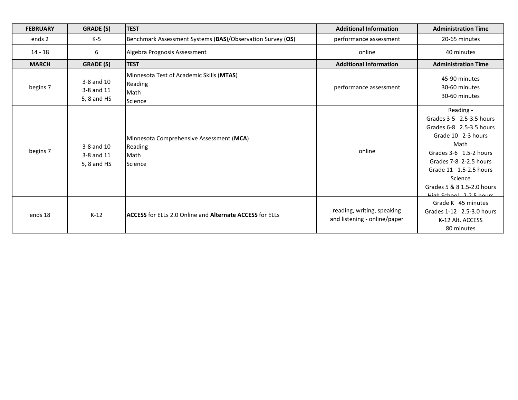| <b>FEBRUARY</b> | <b>GRADE (S)</b>                        | <b>TEST</b>                                                             | <b>Additional Information</b>                              | <b>Administration Time</b>                                                                                                                                                                                                                        |
|-----------------|-----------------------------------------|-------------------------------------------------------------------------|------------------------------------------------------------|---------------------------------------------------------------------------------------------------------------------------------------------------------------------------------------------------------------------------------------------------|
| ends 2          | K-5                                     | Benchmark Assessment Systems (BAS)/Observation Survey (OS)              | performance assessment                                     | 20-65 minutes                                                                                                                                                                                                                                     |
| $14 - 18$       | 6                                       | Algebra Prognosis Assessment                                            | online                                                     | 40 minutes                                                                                                                                                                                                                                        |
| <b>MARCH</b>    | <b>GRADE (S)</b>                        | <b>TEST</b>                                                             | <b>Additional Information</b>                              | <b>Administration Time</b>                                                                                                                                                                                                                        |
| begins 7        | 3-8 and 10<br>3-8 and 11<br>5, 8 and HS | Minnesota Test of Academic Skills (MTAS)<br>Reading<br>Math<br>Science  | performance assessment                                     | 45-90 minutes<br>30-60 minutes<br>30-60 minutes                                                                                                                                                                                                   |
| begins 7        | 3-8 and 10<br>3-8 and 11<br>5, 8 and HS | Minnesota Comprehensive Assessment (MCA)<br>Reading<br>Math<br>Science  | online                                                     | Reading -<br>Grades 3-5 2.5-3.5 hours<br>Grades 6-8 2.5-3.5 hours<br>Grade 10 2-3 hours<br>Math<br>Grades 3-6 1.5-2 hours<br>Grades 7-8 2-2.5 hours<br>Grade 11 1.5-2.5 hours<br>Science<br>Grades 5 & 8 1.5-2.0 hours<br>High School 2.2 5 hours |
| ends 18         | $K-12$                                  | <b>IACCESS</b> for ELLs 2.0 Online and <b>Alternate ACCESS</b> for ELLs | reading, writing, speaking<br>and listening - online/paper | Grade K 45 minutes<br>Grades 1-12 2.5-3.0 hours<br>K-12 Alt. ACCESS<br>80 minutes                                                                                                                                                                 |